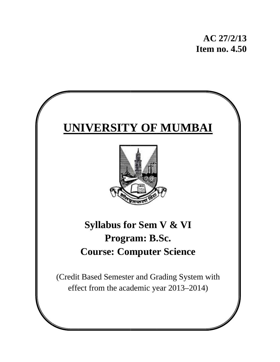# **UNIVERSITY OF MUMBAI**



# **Syllabus for Sem V & VI Course: Computer Science Program: B.Sc.**

(Credit Based Semester and Grading System with effect from the academic year 2013–2014)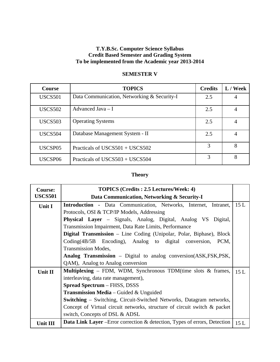#### **T.Y.B.Sc. Computer Science Syllabus Credit Based Semester and Grading System To be implemented from the Academic year 2013-2014**

| <b>Course</b>       | <b>TOPICS</b>                               | <b>Credits</b> | L / Week |
|---------------------|---------------------------------------------|----------------|----------|
| <b>USCS501</b>      | Data Communication, Networking & Security-I | 2.5            |          |
| <b>USCS502</b>      | Advanced Java $-I$                          | 2.5            | 4        |
| <b>USCS503</b>      | <b>Operating Systems</b>                    | 2.5            |          |
| USCS <sub>504</sub> | Database Management System - II             | 2.5            | 4        |
| USCSP05             | Practicals of USCS501 + USCS502             |                | 8        |
| USCSP06             | Practicals of USCS503 + USCS504             | 3              | 8        |

# **SEMESTER V**

# **Theory**

| <b>Course:</b>  | <b>TOPICS</b> (Credits: 2.5 Lectures/Week: 4)                                     |     |
|-----------------|-----------------------------------------------------------------------------------|-----|
| <b>USCS501</b>  | Data Communication, Networking & Security-I                                       |     |
| Unit I          | <b>Introduction</b> - Data Communication, Networks, Internet, Intranet,           | 15L |
|                 | Protocols, OSI & TCP/IP Models, Addressing                                        |     |
|                 | <b>Physical Layer</b> – Signals, Analog, Digital, Analog VS Digital,              |     |
|                 | Transmission Impairment, Data Rate Limits, Performance                            |     |
|                 | Digital Transmission - Line Coding (Unipolar, Polar, Biphase), Block              |     |
|                 | Coding(4B/5B Encoding), Analog to digital conversion,<br>PCM,                     |     |
|                 | <b>Transmission Modes,</b>                                                        |     |
|                 | Analog Transmission - Digital to analog conversion(ASK,FSK,PSK,                   |     |
|                 | QAM), Analog to Analog conversion                                                 |     |
| Unit II         | <b>Multiplexing</b> – FDM, WDM, Synchronous TDM(time slots $\&$ frames,           | 15L |
|                 | interleaving, data rate management),                                              |     |
|                 | <b>Spread Spectrum</b> – FHSS, DSSS                                               |     |
|                 | <b>Transmission Media</b> – Guided & Unguided                                     |     |
|                 | <b>Switching</b> – Switching, Circuit-Switched Networks, Datagram networks,       |     |
|                 | Concept of Virtual circuit networks, structure of circuit switch & packet         |     |
|                 | switch, Concepts of DSL & ADSL                                                    |     |
| <b>Unit III</b> | <b>Data Link Layer</b> – Error correction & detection, Types of errors, Detection | 15L |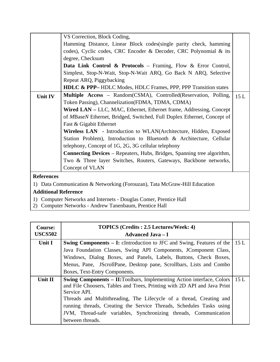|                                                                           | VS Correction, Block Coding,                                                   |     |
|---------------------------------------------------------------------------|--------------------------------------------------------------------------------|-----|
|                                                                           | Hamming Distance, Linear Block codes (single parity check, hamming             |     |
|                                                                           | codes), Cyclic codes, CRC Encoder & Decoder, CRC Polynomial & its              |     |
|                                                                           | degree, Checksum                                                               |     |
|                                                                           | Data Link Control & Protocols - Framing, Flow & Error Control,                 |     |
|                                                                           | Simplest, Stop-N-Wait, Stop-N-Wait ARQ, Go Back N ARQ, Selective               |     |
|                                                                           | Repeat ARQ, Piggybacking                                                       |     |
|                                                                           | <b>HDLC &amp; PPP–</b> HDLC Modes, HDLC Frames, PPP, PPP Transition states     |     |
| Unit IV                                                                   | <b>Multiple Access</b> – Random(CSMA), Controlled(Reservation, Polling,        | 15L |
|                                                                           | Token Passing), Channelization (FDMA, TDMA, CDMA)                              |     |
|                                                                           | Wired LAN – LLC, MAC, Ethernet, Ethernet frame, Addressing, Concept            |     |
|                                                                           | of MBaseN Ethernet, Bridged, Switched, Full Duplex Ethernet, Concept of        |     |
|                                                                           | Fast & Gigabit Ethernet                                                        |     |
|                                                                           | <b>Wireless LAN</b> - Introduction to WLAN(Architecture, Hidden, Exposed       |     |
|                                                                           | Station Problem), Introduction to Bluetooth & Architecture, Cellular           |     |
|                                                                           | telephony, Concept of 1G, 2G, 3G cellular telephony                            |     |
|                                                                           | <b>Connecting Devices</b> – Repeaters, Hubs, Bridges, Spanning tree algorithm, |     |
|                                                                           | Two & Three layer Switches, Routers, Gateways, Backbone networks,              |     |
|                                                                           | Concept of VLAN                                                                |     |
| <b>References</b>                                                         |                                                                                |     |
| 1) Data Communication & Networking (Forouzan), Tata McGraw-Hill Education |                                                                                |     |

- 1) Computer Networks and Internets Douglas Comer, Prentice Hall
- 2) Computer Networks Andrew Tanenbaum, Prentice Hall

| <b>Course:</b><br><b>USCS502</b> | <b>TOPICS</b> (Credits : 2.5 Lectures/Week: 4)<br><b>Advanced Java – I</b>         |  |
|----------------------------------|------------------------------------------------------------------------------------|--|
| <b>Unit I</b>                    | <b>Swing Components – I:</b> cIntroduction to JFC and Swing, Features of the 115 L |  |
|                                  | Java Foundation Classes, Swing API Components, JComponent Class,                   |  |
|                                  | Windows, Dialog Boxes, and Panels, Labels, Buttons, Check Boxes,                   |  |
|                                  | Menus, Pane, JScrollPane, Desktop pane, Scrollbars, Lists and Combo                |  |
|                                  | Boxes, Text-Entry Components.                                                      |  |
| Unit II                          | <b>Swing Components – II:</b> Toolbars, Implementing Action interface, Colors 15 L |  |
|                                  | and File Choosers, Tables and Trees, Printing with 2D API and Java Print           |  |
|                                  | Service API.                                                                       |  |
|                                  | Threads and Multithreading, The Lifecycle of a thread, Creating and                |  |
|                                  | running threads, Creating the Service Threads, Schedules Tasks using               |  |
|                                  | JVM, Thread-safe variables, Synchronizing threads, Communication                   |  |
|                                  | between threads.                                                                   |  |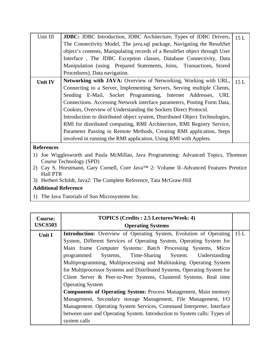| Unit III                                                            | JDBC: JDBC Introduction, JDBC Architecture, Types of JDBC Drivers,                                 | 15 L |
|---------------------------------------------------------------------|----------------------------------------------------------------------------------------------------|------|
|                                                                     | The Connectivity Model, The java.sql package, Navigating the ResultSet                             |      |
|                                                                     | object's contents, Manipulating records of a ResultSet object through User                         |      |
|                                                                     | Interface, The JDBC Exception classes, Database Connectivity, Data                                 |      |
|                                                                     | Manipulation (using Prepared Statements, Joins, Transactions, Stored                               |      |
|                                                                     | Procedures), Data navigation.                                                                      |      |
| Unit IV                                                             | <b>Networking with JAVA:</b> Overview of Networking, Working with URL,                             | 15L  |
|                                                                     | Connecting to a Server, Implementing Servers, Serving multiple Clients,                            |      |
|                                                                     | Sending E-Mail, Socket Programming, Internet Addresses, URL                                        |      |
|                                                                     | Connections. Accessing Network interface parameters, Posting Form Data,                            |      |
|                                                                     | Cookies, Overview of Understanding the Sockets Direct Protocol.                                    |      |
|                                                                     | Introduction to distributed object system, Distributed Object Technologies,                        |      |
|                                                                     | RMI for distributed computing, RMI Architecture, RMI Registry Service,                             |      |
|                                                                     | Parameter Passing in Remote Methods, Creating RMI application, Steps                               |      |
|                                                                     | involved in running the RMI application, Using RMI with Applets.                                   |      |
| <b>References</b>                                                   |                                                                                                    |      |
| 1)                                                                  | Joe Wigglesworth and Paula McMillan, Java Programming: Advanced Topics, Thomson                    |      |
| Course Technology (SPD)                                             |                                                                                                    |      |
|                                                                     | 2) Cay S. Horstmann, Gary Cornell, Core Java <sup>TM</sup> 2: Volume II-Advanced Features Prentice |      |
| <b>Hall PTR</b>                                                     |                                                                                                    |      |
| 3) Herbert Schildt, Java2: The Complete Reference, Tata McGraw-Hill |                                                                                                    |      |
|                                                                     |                                                                                                    |      |

1) The Java Tutorials of Sun Microsystems Inc.

| <b>Course:</b><br><b>USCS503</b> | <b>TOPICS (Credits: 2.5 Lectures/Week: 4)</b><br><b>Operating Systems</b> |     |
|----------------------------------|---------------------------------------------------------------------------|-----|
| Unit I                           | <b>Introduction:</b> Overview of Operating System, Evolution of Operating | 15L |
|                                  | System, Different Services of Operating System, Operating System for      |     |
|                                  | Main frame Computer Systems: Batch Processing Systems, Micro              |     |
|                                  | Systems, Time-Sharing<br>System.<br>Understanding<br>programmed           |     |
|                                  | Multiprogramming, Multiprocessing and Multitasking. Operating System      |     |
|                                  | for Multiprocessor Systems and Distributed Systems, Operating System for  |     |
|                                  | Client Server & Peer-to-Peer Systems, Clustered Systems. Real time        |     |
|                                  | <b>Operating System</b>                                                   |     |
|                                  | <b>Components of Operating System: Process Management, Main memory</b>    |     |
|                                  | Management, Secondary storage Management, File Management, I/O            |     |
|                                  | Management. Operating System Services, Command Interpreter, Interface     |     |
|                                  | between user and Operating System. Introduction to System calls: Types of |     |
|                                  | system calls                                                              |     |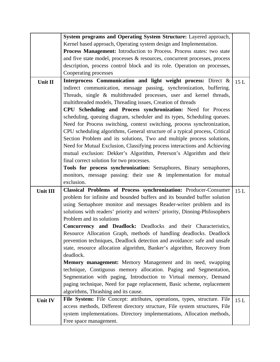|          | System programs and Operating System Structure: Layered approach,                                                                                                                                            |      |
|----------|--------------------------------------------------------------------------------------------------------------------------------------------------------------------------------------------------------------|------|
|          | Kernel based approach, Operating system design and Implementation.                                                                                                                                           |      |
|          | Process Management: Introduction to Process. Process states: two state                                                                                                                                       |      |
|          | and five state model, processes & resources, concurrent processes, process                                                                                                                                   |      |
|          | description, process control block and its role. Operation on processes,                                                                                                                                     |      |
|          | Cooperating processes                                                                                                                                                                                        |      |
| Unit II  | Interprocess Communication and light weight process: Direct &<br>indirect communication, message passing, synchronization, buffering.<br>Threads, single & multithreaded processes, user and kernel threads, | 15L  |
|          | multithreaded models, Threading issues, Creation of threads                                                                                                                                                  |      |
|          | CPU Scheduling and Process synchronization: Need for Process                                                                                                                                                 |      |
|          | scheduling, queuing diagram, scheduler and its types, Scheduling queues.                                                                                                                                     |      |
|          | Need for Process switching, context switching, process synchronization,                                                                                                                                      |      |
|          | CPU scheduling algorithms, General structure of a typical process, Critical                                                                                                                                  |      |
|          | Section Problem and its solutions, Two and multiple process solutions,                                                                                                                                       |      |
|          | Need for Mutual Exclusion, Classifying process interactions and Achieving                                                                                                                                    |      |
|          | mutual exclusion: Dekker's Algorithm, Peterson's Algorithm and their                                                                                                                                         |      |
|          | final correct solution for two processes.                                                                                                                                                                    |      |
|          | Tools for process synchronization: Semaphores, Binary semaphores,                                                                                                                                            |      |
|          | monitors, message passing: their use $\&$ implementation for mutual                                                                                                                                          |      |
|          | exclusion.                                                                                                                                                                                                   |      |
| Unit III | Classical Problems of Process synchronization: Producer-Consumer                                                                                                                                             | 15L  |
|          | problem for infinite and bounded buffers and its bounded buffer solution                                                                                                                                     |      |
|          | using Semaphore monitor and messages Reader-writer problem and its                                                                                                                                           |      |
|          | solutions with readers' priority and writers' priority, Dinning-Philosophers                                                                                                                                 |      |
|          | Problem and its solutions                                                                                                                                                                                    |      |
|          | Concurrency and Deadlock: Deadlocks and their Characteristics,                                                                                                                                               |      |
|          | Resource Allocation Graph, methods of handling deadlocks. Deadlock                                                                                                                                           |      |
|          | prevention techniques, Deadlock detection and avoidance: safe and unsafe                                                                                                                                     |      |
|          | state, resource allocation algorithm, Banker's algorithm, Recovery from                                                                                                                                      |      |
|          | deadlock.                                                                                                                                                                                                    |      |
|          | Memory management: Memory Management and its need, swapping                                                                                                                                                  |      |
|          | technique, Contiguous memory allocation. Paging and Segmentation,                                                                                                                                            |      |
|          | Segmentation with paging, Introduction to Virtual memory, Demand                                                                                                                                             |      |
|          | paging technique, Need for page replacement, Basic scheme, replacement                                                                                                                                       |      |
|          | algorithms, Thrashing and its cause.                                                                                                                                                                         |      |
| Unit IV  | File System: File Concept: attributes, operations, types, structure. File                                                                                                                                    | 15 L |
|          | access methods, Different directory structure, File system structures, File                                                                                                                                  |      |
|          | system implementations. Directory implementations, Allocation methods,                                                                                                                                       |      |
|          | Free space management.                                                                                                                                                                                       |      |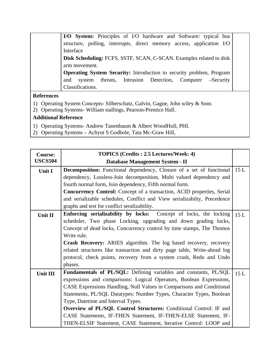| I/O System: Principles of I/O hardware and Software: typical bus            |
|-----------------------------------------------------------------------------|
| structure, polling, interrupts, direct memory access, application I/O       |
| Interface                                                                   |
| Disk Scheduling: FCFS, SSTF, SCAN, C-SCAN. Examples related to disk         |
| arm movement.                                                               |
| <b>Operating System Security:</b> Introduction to security problem, Program |
| threats, Intrusion Detection, Computer –Security<br>system<br>and           |
| Classifications.                                                            |

#### **References**

- 1) Operating System Concepts- Silberschatz, Galvin, Gagne, John wiley & Sons
- 2) Operating Systems- William stallings, Pearson-Prentice Hall.

- 1) Operating Systems- Andrew Tanenbaum & Albert WoodHull, PHI.
- 2) Operating Systems Achyut S Godbole, Tata Mc-Graw Hill,

| <b>Course:</b>  | <b>TOPICS</b> (Credits: 2.5 Lectures/Week: 4)                                 |     |
|-----------------|-------------------------------------------------------------------------------|-----|
| <b>USCS504</b>  | Database Management System - II                                               |     |
| Unit I          | <b>Decomposition:</b> Functional dependency, Closure of a set of functional   | 15L |
|                 | dependency, Lossless-Join decomposition, Multi valued dependency and          |     |
|                 | fourth normal form, Join dependency, Fifth normal form.                       |     |
|                 | <b>Concurrency Control:</b> Concept of a transaction, ACID properties, Serial |     |
|                 | and serializable schedules, Conflict and View serializabilty, Precedence      |     |
|                 | graphs and test for conflict seralizability.                                  |     |
| Unit II         | Enforcing serializability by locks: Concept of locks, the locking             | 15L |
|                 | scheduler, Two phase Locking, upgrading and down grading locks,               |     |
|                 | Concept of dead locks, Concurrency control by time stamps, The Thomos         |     |
|                 | Write rule.                                                                   |     |
|                 | Crash Recovery: ARIES algorithm. The log based recovery, recovery             |     |
|                 | related structures like transaction and dirty page table, Write-ahead log     |     |
|                 | protocol, check points, recovery from a system crash, Redo and Undo           |     |
|                 | phases.                                                                       |     |
| <b>Unit III</b> | Fundamentals of PL/SQL: Defining variables and constants, PL/SQL              | 15L |
|                 | expressions and comparisons: Logical Operators, Boolean Expressions,          |     |
|                 | CASE Expressions Handling, Null Values in Comparisons and Conditional         |     |
|                 | Statements, PL/SQL Datatypes: Number Types, Character Types, Boolean          |     |
|                 | Type, Datetime and Interval Types.                                            |     |
|                 | Overview of PL/SQL Control Structures: Conditional Control: IF and            |     |
|                 | CASE Statements, IF-THEN Statement, IF-THEN-ELSE Statement, IF-               |     |
|                 | THEN-ELSIF Statement, CASE Statement, Iterative Control: LOOP and             |     |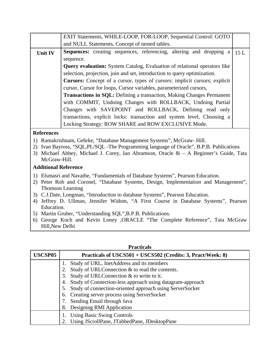| EXIT Statements, WHILE-LOOP, FOR-LOOP, Sequential Control: GOTO                              |  |
|----------------------------------------------------------------------------------------------|--|
| and NULL Statements, Concept of nested tables.                                               |  |
| <b>Sequences:</b> creating sequences, referencing, altering and dropping a<br>15L<br>Unit IV |  |
| sequence.                                                                                    |  |
| <b>Query evaluation:</b> System Catalog, Evaluation of relational operators like             |  |
| selection, projection, join and set, introduction to query optimization.                     |  |
| <b>Cursors:</b> Concept of a cursor, types of cursors: implicit cursors; explicit            |  |
| cursor, Cursor for loops, Cursor variables, parameterized cursors,                           |  |
| <b>Transactions in SQL:</b> Defining a transaction, Making Changes Permanent                 |  |
| with COMMIT, Undoing Changes with ROLLBACK, Undoing Partial                                  |  |
| Changes with SAVEPOINT and ROLLBACK, Defining read only                                      |  |
| transactions, explicit locks: transaction and system level, Choosing a                       |  |
| Locking Strategy: ROW SHARE and ROW EXCLUSIVE Mode.                                          |  |
| <b>References</b>                                                                            |  |
| Ramakrishnam, Gehrke, "Database Management Systems", McGraw-Hill.<br>$\left( \right)$        |  |
| Ivan Bayross, "SQL, PL/SQL - The Programming language of Oracle", B.P.B. Publications<br>2)  |  |
| 3) Michael Abbey, Michael J. Corey, Ian Abramson, Oracle 8i - A Beginner's Guide, Tata       |  |
| McGraw-Hill.                                                                                 |  |
| <b>Additional Reference</b>                                                                  |  |

#### 1) Elsmasri and Navathe, "Fundamentals of Database Systems", Pearson Education.

- 2) Peter Rob and Coronel, "Database Systems, Design, Implementation and Management", Thomson Learning
- 3) C.J.Date, Longman, "Introduction to database Systems", Pearson Education.
- 4) Jeffrey D. Ullman, Jennifer Widom, "A First Course in Database Systems", Pearson Education.
- 5) Martin Gruber, "Understanding SQL",B.P.B. Publications.
- 6) George Koch and Kevin Loney ,ORACLE "The Complete Reference", Tata McGraw Hill,New Delhi

| USCSP05 | Practicals of USCS501 + USCS502 (Credits: 3, Pract/Week: 8)  |
|---------|--------------------------------------------------------------|
|         | Study of URL, InetAddress and its members<br>1.              |
|         | Study of URLConnection & to read the contents.               |
|         | Study of URLConnection & to write to it.                     |
|         | 4. Study of Connection-less approach using datagram-approach |
|         | 5. Study of connection-oriented approach using ServerSocket  |
|         | 6. Creating server process using ServerSocket                |
|         | 7. Sending Email through Java                                |
|         | Designing RMI Application                                    |
|         | <b>Using Basic Swing Controls</b>                            |
|         | Using JScrollPane, JTabbedPane, JDesktopPane                 |

#### **Practicals**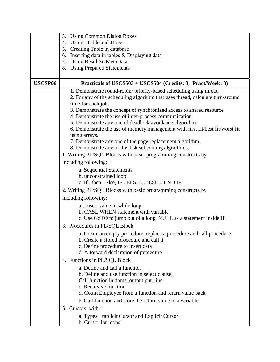|         | <b>Using Common Dialog Boxes</b><br>3.                                         |
|---------|--------------------------------------------------------------------------------|
|         | 4. Using JTable and JTree                                                      |
|         | 5. Creating Table in database                                                  |
|         | 6. Inserting data in tables & Displaying data                                  |
|         | 7. Using ResultSetMetaData                                                     |
|         | 8. Using Prepared Statements                                                   |
|         |                                                                                |
| USCSP06 | Practicals of USCS503 + USCS504 (Credits: 3, Pract/Week: 8)                    |
|         | 1. Demonstrate round-robin/ priority-based scheduling using thread             |
|         | 2. For any of the scheduling algorithm that uses thread, calculate turn-around |
|         | time for each job.                                                             |
|         | 3. Demonstrate the concept of synchronized access to shared resource           |
|         | 4. Demonstrate the use of inter-process communication                          |
|         | 5. Demonstrate any one of deadlock avoidance algorithm                         |
|         | 6. Demonstrate the use of memory management with first fit/best fit/worst fit  |
|         | using arrays.                                                                  |
|         | 7. Demonstrate any one of the page replacement algorithm.                      |
|         | 8. Demonstrate any of the disk scheduling algorithms.                          |
|         | 1. Writing PL/SQL Blocks with basic programming constructs by                  |
|         | including following:                                                           |
|         | a. Sequential Statements                                                       |
|         | b. unconstrained loop                                                          |
|         | c. IfthenElse, IFELSIFELSE END IF                                              |
|         | 2. Writing PL/SQL Blocks with basic programming constructs by                  |
|         | including following:                                                           |
|         | a Insert value in while loop                                                   |
|         | b. CASE WHEN statement with variable                                           |
|         | c. Use GoTO to jump out of a loop, NULL as a statement inside IF               |
|         | 3. Procedures in PL/SQL Block                                                  |
|         | a. Create an empty procedure, replace a procedure and call procedure           |
|         | b. Create a stored procedure and call it                                       |
|         | c. Define procedure to insert data                                             |
|         | d. A forward declaration of procedure                                          |
|         | 4. Functions in PL/SQL Block                                                   |
|         | a. Define and call a function                                                  |
|         |                                                                                |
|         | b. Define and use function in select clause,                                   |
|         | Call function in dbms_output.put_line<br>c. Recursive function                 |
|         | d. Count Employee from a function and return value back                        |
|         |                                                                                |
|         | e. Call function and store the return value to a variable                      |
|         | 5. Cursors with                                                                |
|         | a. Types: Implicit Cursor and Explicit Cursor<br>b. Cursor for loops           |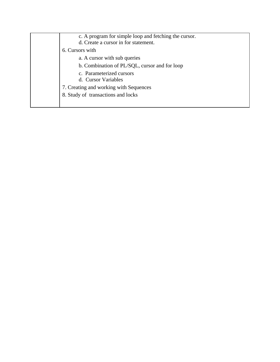| c. A program for simple loop and fetching the cursor.<br>d. Create a cursor in for statement. |
|-----------------------------------------------------------------------------------------------|
| 6. Cursors with                                                                               |
| a. A cursor with sub queries                                                                  |
| b. Combination of PL/SQL, cursor and for loop                                                 |
| c. Parameterized cursors<br>d. Cursor Variables                                               |
| 7. Creating and working with Sequences                                                        |
| 8. Study of transactions and locks                                                            |
|                                                                                               |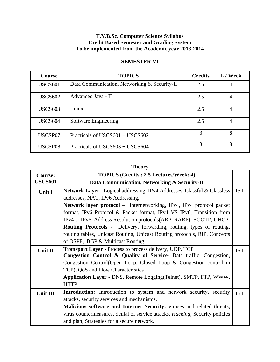#### **T.Y.B.Sc. Computer Science Syllabus Credit Based Semester and Grading System To be implemented from the Academic year 2013-2014**

| <b>Course</b>  | <b>TOPICS</b>                                | <b>Credits</b> | L / Week |
|----------------|----------------------------------------------|----------------|----------|
| <b>USCS601</b> | Data Communication, Networking & Security-II | 2.5            | 4        |
| <b>USCS602</b> | Advanced Java - II                           | 2.5            | 4        |
| <b>USCS603</b> | Linux                                        | 2.5            | 4        |
| <b>USCS604</b> | Software Engineering                         | 2.5            | 4        |
| USCSP07        | Practicals of $USCS601 + USCS602$            | 3              | 8        |
| USCSP08        | Practicals of USCS $603 + USCS604$           | 3              | 8        |

#### **SEMESTER VI**

# **Theory**

| <b>Course:</b> | <b>TOPICS</b> (Credits : 2.5 Lectures/Week: 4)                                                                                       |     |
|----------------|--------------------------------------------------------------------------------------------------------------------------------------|-----|
| <b>USCS601</b> | Data Communication, Networking & Security-II                                                                                         |     |
| <b>Unit I</b>  | Network Layer -Logical addressing, IPv4 Addresses, Classful & Classless                                                              | 15L |
|                | addresses, NAT, IPv6 Addressing,                                                                                                     |     |
|                | <b>Network layer protocol</b> – Internetworking, IPv4, IPv4 protocol packet                                                          |     |
|                | format, IPv6 Protocol & Packet format, IPv4 VS IPv6, Transition from                                                                 |     |
|                | IPv4 to IPv6, Address Resolution protocols (ARP, RARP), BOOTP, DHCP,                                                                 |     |
|                | <b>Routing Protocols</b> - Delivery, forwarding, routing, types of routing,                                                          |     |
|                | routing tables, Unicast Routing, Unicast Routing protocols, RIP, Concepts                                                            |     |
|                | of OSPF, BGP & Multicast Routing                                                                                                     |     |
| Unit II        | <b>Transport Layer - Process to process delivery, UDP, TCP</b><br>Congestion Control & Quality of Service- Data traffic, Congestion, | 15L |
|                | Congestion Control(Open Loop, Closed Loop & Congestion control in                                                                    |     |
|                | TCP), QoS and Flow Characteristics                                                                                                   |     |
|                | Application Layer - DNS, Remote Logging (Telnet), SMTP, FTP, WWW,                                                                    |     |
|                | <b>HTTP</b>                                                                                                                          |     |
| Unit III       | <b>Introduction:</b> Introduction to system and network security, security                                                           | 15L |
|                | attacks, security services and mechanisms.                                                                                           |     |
|                | Malicious software and Internet Security: viruses and related threats,                                                               |     |
|                | virus countermeasures, denial of service attacks, <i>Hacking</i> , Security policies                                                 |     |
|                | and plan, Strategies for a secure network.                                                                                           |     |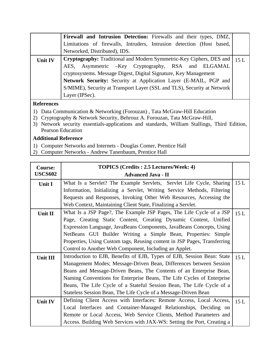|                   | Firewall and Intrusion Detection: Firewalls and their types, DMZ,                 |  |
|-------------------|-----------------------------------------------------------------------------------|--|
|                   | Limitations of firewalls, Intruders, Intrusion detection (Host based,             |  |
|                   | Networked, Distributed), IDS.                                                     |  |
| <b>Unit IV</b>    | <b>Cryptography:</b> Traditional and Modern Symmetric-Key Ciphers, DES and   15 L |  |
|                   | AES, Asymmetric -Key Cryptography, RSA and ELGAMAL                                |  |
|                   | cryptosystems. Message Digest, Digital Signature, Key Management                  |  |
|                   | Network Security: Security at Application Layer (E-MAIL, PGP and                  |  |
|                   | S/MIME), Security at Transport Layer (SSL and TLS), Security at Network           |  |
|                   | Layer (IPSec).                                                                    |  |
| <b>References</b> |                                                                                   |  |

- 1) Data Communication & Networking (Forouzan) , Tata McGraw-Hill Education
- 2) Cryptography & Network Security, Behrouz A. Forouzan, Tata McGraw-Hill,
- 3) Network security essentials-applications and standards, William Stallings, Third Edition, Pearson Education

- 1) Computer Networks and Internets Douglas Comer, Prentice Hall
- 2) Computer Networks Andrew Tanenbaum, Prentice Hall

| <b>Course:</b> | TOPICS (Credits: 2.5 Lectures/Week: 4)                                    |      |
|----------------|---------------------------------------------------------------------------|------|
| <b>USCS602</b> | <b>Advanced Java - II</b>                                                 |      |
| <b>Unit I</b>  | What Is a Servlet? The Example Servlets, Servlet Life Cycle, Sharing      | 15 L |
|                | Information, Initializing a Servlet, Writing Service Methods, Filtering   |      |
|                | Requests and Responses, Invoking Other Web Resources, Accessing the       |      |
|                | Web Context, Maintaining Client State, Finalizing a Servlet.              |      |
| Unit II        | What Is a JSP Page?, The Example JSP Pages, The Life Cycle of a JSP       | 15L  |
|                | Page, Creating Static Content, Creating Dynamic Content, Unified          |      |
|                | Expression Language, JavaBeans Components, JavaBeans Concepts, Using      |      |
|                | NetBeans GUI Builder Writing a Simple Bean, Properties: Simple            |      |
|                | Properties, Using Custom tags, Reusing content in JSP Pages, Transferring |      |
|                | Control to Another Web Component, Including an Applet.                    |      |
| Unit III       | Introduction to EJB, Benefits of EJB, Types of EJB, Session Bean: State   | 15 L |
|                | Management Modes; Message-Driven Bean, Differences between Session        |      |
|                | Beans and Message-Driven Beans, The Contents of an Enterprise Bean,       |      |
|                | Naming Conventions for Enterprise Beans, The Life Cycles of Enterprise    |      |
|                | Beans, The Life Cycle of a Stateful Session Bean, The Life Cycle of a     |      |
|                | Stateless Session Bean, The Life Cycle of a Message-Driven Bean           |      |
| Unit IV        | Defining Client Access with Interfaces: Remote Access, Local Access,      | 15L  |
|                | Local Interfaces and Container-Managed Relationships, Deciding on         |      |
|                | Remote or Local Access, Web Service Clients, Method Parameters and        |      |
|                | Access. Building Web Services with JAX-WS: Setting the Port, Creating a   |      |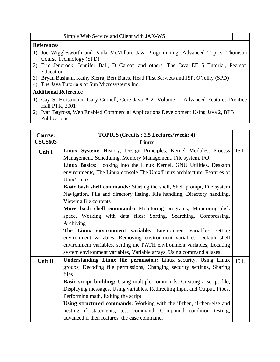#### **References**

- 1) Joe Wigglesworth and Paula McMillan, Java Programming: Advanced Topics, Thomson Course Technology (SPD)
- 2) Eric Jendrock, Jennifer Ball, D Carson and others, The Java EE 5 Tutorial, Pearson Education
- 3) Bryan Basham, Kathy Sierra, Bert Bates, Head First Servlets and JSP, O'reilly (SPD)
- 4) The Java Tutorials of Sun Microsystems Inc.

- 1) Cay S. Horstmann, Gary Cornell, Core Java™ 2: Volume II–Advanced Features Prentice Hall PTR, 2001
- 2) Ivan Bayross, Web Enabled Commercial Applications Development Using Java 2, BPB Publications

| <b>Course:</b> | <b>TOPICS</b> (Credits: 2.5 Lectures/Week: 4)                                  |     |
|----------------|--------------------------------------------------------------------------------|-----|
| <b>USCS603</b> | Linux                                                                          |     |
| Unit I         | Linux System: History, Design Principles, Kernel Modules, Process              | 15L |
|                | Management, Scheduling, Memory Management, File system, I/O.                   |     |
|                | Linux Basics: Looking into the Linux Kernel, GNU Utilities, Desktop            |     |
|                | environments, The Linux console The Unix/Linux architecture, Features of       |     |
|                | Unix/Linux.                                                                    |     |
|                | Basic bash shell commands: Starting the shell, Shell prompt, File system       |     |
|                | Navigation, File and directory listing, File handling, Directory handling,     |     |
|                | Viewing file contents                                                          |     |
|                | More bash shell commands: Monitoring programs, Monitoring disk                 |     |
|                | space, Working with data files: Sorting, Searching, Compressing,               |     |
|                | Archiving                                                                      |     |
|                | <b>The Linux environment variable:</b> Environment variables, setting          |     |
|                | environment variables, Removing environment variables, Default shell           |     |
|                | environment variables, setting the PATH environment variables, Locating        |     |
|                | system environment variables, Variable arrays, Using command aliases           |     |
| Unit II        | Understanding Linux file permission: Linux security, Using Linux               | 15L |
|                | groups, Decoding file permissions, Changing security settings, Sharing         |     |
|                | files                                                                          |     |
|                | <b>Basic script building:</b> Using multiple commands, Creating a script file, |     |
|                | Displaying messages, Using variables, Redirecting Input and Output, Pipes,     |     |
|                | Performing math, Exiting the script.                                           |     |
|                | Using structured commands: Working with the if-then, if-then-else and          |     |
|                | nesting if statements, test command, Compound condition testing,               |     |
|                | advanced if then features, the case command.                                   |     |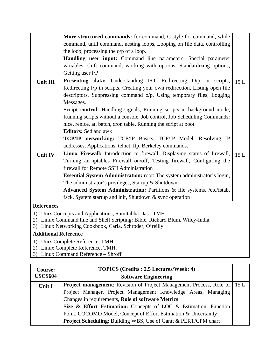|                   | More structured commands: for command, C-style for command, while            |     |
|-------------------|------------------------------------------------------------------------------|-----|
|                   | command, until command, nesting loops, Looping on file data, controlling     |     |
|                   | the loop, processing the $o/p$ of a loop.                                    |     |
|                   | Handling user input: Command line parameters, Special parameter              |     |
|                   | variables, shift command, working with options, Standardizing options,       |     |
|                   | Getting user I/P                                                             |     |
| <b>Unit III</b>   | <b>Presenting data:</b> Understanding I/O, Redirecting O/p in scripts,       | 15L |
|                   | Redirecting I/p in scripts, Creating your own redirection, Listing open file |     |
|                   | descriptors, Suppressing command o/p, Using temporary files, Logging         |     |
|                   | Messages.                                                                    |     |
|                   | Script control: Handling signals, Running scripts in background mode,        |     |
|                   | Running scripts without a console, Job control, Job Scheduling Commands:     |     |
|                   | nice, renice, at, batch, cron table, Running the script at boot.             |     |
|                   | <b>Editors:</b> Sed and awk                                                  |     |
|                   | <b>TCP/IP networking:</b> TCP/IP Basics, TCP/IP Model, Resolving IP          |     |
|                   | addresses, Applications, telnet, ftp, Berkeley commands.                     |     |
|                   | Linux Firewall: Introduction to firewall, Displaying status of firewall,     | 15L |
| Unit IV           | Turning an iptables Firewall on/off, Testing firewall, Configuring the       |     |
|                   | firewall for Remote SSH Administration                                       |     |
|                   |                                                                              |     |
|                   | Essential System Administration: root: The system administrator's login,     |     |
|                   | The administrator's privileges, Startup & Shutdown.                          |     |
|                   | Advanced System Administration: Partitions & file systems, /etc/fstab,       |     |
|                   | fsck, System startup and init, Shutdown & sync operation                     |     |
| <b>References</b> |                                                                              |     |
|                   | 1) Unix Concepts and Applications, Sumitabha Das., TMH.                      |     |

- 2) Linux Command line and Shell Scripting: Bible, Richard Blum, Wiley-India.
- 3) Linux Networking Cookbook, Carla, Schroder, O'reilly.

- 1) Unix Complete Reference, TMH.
- 2) Linux Complete Reference, TMH.
- 3) Linux Command Reference Shroff

| <b>Course:</b> | <b>TOPICS</b> (Credits: 2.5 Lectures/Week: 4)                                   |  |
|----------------|---------------------------------------------------------------------------------|--|
| <b>USCS604</b> | <b>Software Engineering</b>                                                     |  |
| Unit I         | <b>Project management:</b> Revision of Project Management Process, Role of 15 L |  |
|                | Project Manager, Project Management Knowledge Areas, Managing                   |  |
|                | Changes in requirements, Role of software Metrics                               |  |
|                | Size & Effort Estimation: Concepts of LOC & Estimation, Function                |  |
|                | Point, COCOMO Model, Concept of Effort Estimation & Uncertainty                 |  |
|                | Project Scheduling: Building WBS, Use of Gantt & PERT/CPM chart                 |  |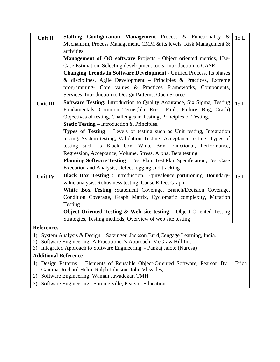|                             | Staffing Configuration Management Process & Functionality &                                                                                              |     |
|-----------------------------|----------------------------------------------------------------------------------------------------------------------------------------------------------|-----|
| Unit II                     |                                                                                                                                                          | 15L |
|                             | Mechanism, Process Management, CMM & its levels, Risk Management &                                                                                       |     |
|                             | activities                                                                                                                                               |     |
|                             | Management of OO software Projects - Object oriented metrics, Use-                                                                                       |     |
|                             | Case Estimation, Selecting development tools, Introduction to CASE                                                                                       |     |
|                             | Changing Trends In Software Development - Unified Process, Its phases                                                                                    |     |
|                             | & disciplines, Agile Development - Principles & Practices, Extreme                                                                                       |     |
|                             | programming- Core values & Practices Frameworks, Components,                                                                                             |     |
|                             | Services, Introduction to Design Patterns, Open Source                                                                                                   |     |
| Unit III                    | Software Testing: Introduction to Quality Assurance, Six Sigma, Testing                                                                                  | 15L |
|                             | Fundamentals, Common Terms(like Error, Fault, Failure, Bug, Crash)                                                                                       |     |
|                             | Objectives of testing, Challenges in Testing, Principles of Testing,                                                                                     |     |
|                             | <b>Static Testing</b> – Introduction & Principles.                                                                                                       |     |
|                             | Types of Testing - Levels of testing such as Unit testing, Integration                                                                                   |     |
|                             | testing, System testing, Validation Testing, Acceptance testing, Types of                                                                                |     |
|                             | testing such as Black box, White Box, Functional, Performance,                                                                                           |     |
|                             | Regression, Acceptance, Volume, Stress, Alpha, Beta testing                                                                                              |     |
|                             | Planning Software Testing - Test Plan, Test Plan Specification, Test Case                                                                                |     |
|                             | Execution and Analysis, Defect logging and tracking                                                                                                      |     |
| Unit IV                     | <b>Black Box Testing:</b> Introduction, Equivalence partitioning, Boundary-                                                                              | 15L |
|                             | value analysis, Robustness testing, Cause Effect Graph                                                                                                   |     |
|                             | White Box Testing :Statement Coverage, Branch/Decision Coverage,                                                                                         |     |
|                             | Condition Coverage, Graph Matrix, Cyclomatic complexity, Mutation                                                                                        |     |
|                             | Testing                                                                                                                                                  |     |
|                             | Object Oriented Testing $\&$ Web site testing – Object Oriented Testing                                                                                  |     |
|                             | Strategies, Testing methods, Overview of web site testing                                                                                                |     |
| <b>References</b>           |                                                                                                                                                          |     |
|                             |                                                                                                                                                          |     |
|                             | 1) System Analysis & Design - Satzinger, Jackson, Burd, Cengage Learning, India.<br>2) Software Engineering- A Practitioner's Approach, McGraw Hill Int. |     |
|                             | 3) Integrated Approach to Software Engineering - Pankaj Jalote (Narosa)                                                                                  |     |
| <b>Additional Reference</b> |                                                                                                                                                          |     |
|                             |                                                                                                                                                          |     |
|                             | 1) Design Patterns – Elements of Reusable Object-Oriented Software, Pearson By – Erich<br>Gamma, Richard Helm, Ralph Johnson, John Vlissides,            |     |
|                             | 2) Software Engineering: Waman Jawadekar, TMH                                                                                                            |     |

3) Software Engineering : Sommerville, Pearson Education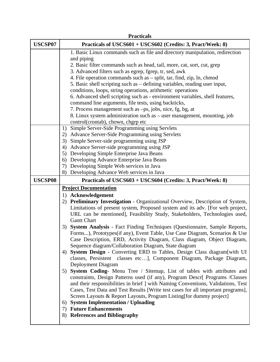|                | <b>Practicals</b>                                                                |
|----------------|----------------------------------------------------------------------------------|
| <b>USCSP07</b> | Practicals of USCS601 + USCS602 (Credits: 3, Pract/Week: 8)                      |
|                | 1. Basic Linux commands such as file and directory manipulation, redirection     |
|                | and piping                                                                       |
|                | 2. Basic filter commands such as head, tail, more, cat, sort, cut, grep          |
|                | 3. Advanced filters such as egrep, fgrep, tr, sed, awk                           |
|                | 4. File operation commands such as – split, tar, find, zip, ln, chmod            |
|                | 5. Basic shell scripting such as – defining variables, reading user input,       |
|                | conditions, loops, string operations, arithmetic operations                      |
|                | 6. Advanced shell scripting such as - environment variables, shell features,     |
|                | command line arguments, file tests, using backticks,                             |
|                | 7. Process management such as -ps, jobs, nice, fg, bg, at                        |
|                | 8. Linux system administration such as – user management, mounting, job          |
|                | control(crontab), chown, chgrp etc                                               |
|                | Simple Server-Side Programming using Servlets<br>1)                              |
|                | 2) Advance Server-Side Programming using Servlets                                |
|                | 3) Simple Server-side programming using JSP                                      |
|                | 4) Advance Server-side programming using JSP                                     |
|                | 5) Developing Simple Enterprise Java Beans                                       |
|                | 6) Developing Advance Enterprise Java Beans                                      |
|                | 7) Developing Simple Web services in Java                                        |
|                | 8) Developing Advance Web services in Java                                       |
|                |                                                                                  |
| <b>USCSP08</b> | Practicals of USCS603 + USCS604 (Credits: 3, Pract/Week: 8)                      |
|                | <b>Project Documentation</b>                                                     |
|                | 1) Acknowledgement                                                               |
|                | 2) Preliminary Investigation - Organizational Overview, Description of System,   |
|                | Limitations of present system, Proposed system and its adv. [For web project,    |
|                | URL can be mentioned], Feasibility Study, Stakeholders, Technologies used,       |
|                | <b>Gantt Chart</b>                                                               |
|                | System Analysis - Fact Finding Techniques (Questionnaire, Sample Reports,<br>3)  |
|                | Forms), Prototypes(if any), Event Table, Use Case Diagram, Scenarios & Use       |
|                | Case Description, ERD, Activity Diagram, Class diagram, Object Diagram,          |
|                | Sequence diagram/Collaboration Diagram, State diagram                            |
|                | System Design - Converting ERD to Tables, Design Class diagram[with UI<br>4)     |
|                | classes, Persistent classes etc], Component Diagram, Package Diagram,            |
|                | Deployment Diagram                                                               |
|                | 5) System Coding- Menu Tree / Sitemap, List of tables with attributes and        |
|                | constraints, Design Patterns used (if any), Program Descr[ Programs /Classes     |
|                | and their responsibilities in brief ] with Naming Conventions, Validations, Test |
|                | Cases, Test Data and Test Results [Write test cases for all important programs], |
|                | Screen Layouts & Report Layouts, Program Listing [for dummy project]             |
|                | <b>System Implementation / Uploading</b><br>6)                                   |
|                | 7) Future Enhancements<br><b>References and Bibliography</b><br>8)               |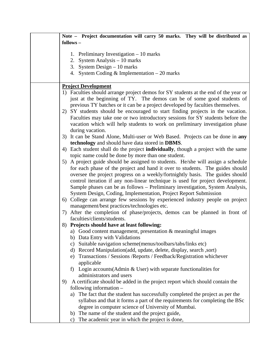| Note - Project documentation will carry 50 marks. They will be distributed as                                                |
|------------------------------------------------------------------------------------------------------------------------------|
| follows -                                                                                                                    |
|                                                                                                                              |
| 1. Preliminary Investigation $-10$ marks                                                                                     |
| System Analysis - 10 marks<br>2.                                                                                             |
| 3. System Design $-10$ marks                                                                                                 |
| 4. System Coding & Implementation $-20$ marks                                                                                |
| <b>Project Development</b>                                                                                                   |
| 1) Faculties should arrange project demos for SY students at the end of the year or                                          |
| just at the beginning of TY. The demos can be of some good students of                                                       |
| previous TY batches or it can be a project developed by faculties themselves.                                                |
| 2) SY students should be encouraged to start finding projects in the vacation.                                               |
| Faculties may take one or two introductory sessions for SY students before the                                               |
| vacation which will help students to work on preliminary investigation phase                                                 |
| during vacation.                                                                                                             |
| 3) It can be Stand Alone, Multi-user or Web Based. Projects can be done in any                                               |
| technology and should have data stored in DBMS.                                                                              |
| 4) Each student shall do the project <b>individually</b> , though a project with the same                                    |
| topic name could be done by more than one student.                                                                           |
| 5) A project guide should be assigned to students. He/she will assign a schedule                                             |
| for each phase of the project and hand it over to students. The guides should                                                |
| oversee the project progress on a weekly/fortnightly basis. The guides should                                                |
| control iteration if any non-linear technique is used for project development.                                               |
| Sample phases can be as follows – Preliminary investigation, System Analysis,                                                |
| System Design, Coding, Implementation, Project Report Submission                                                             |
| 6) College can arrange few sessions by experienced industry people on project<br>management/best practices/technologies etc. |
| 7) After the completion of phase/projects, demos can be planned in front of                                                  |
| faculties/clients/students.                                                                                                  |
| 8) Projects should have at least following:                                                                                  |
| a) Good content management, presentation & meaningful images                                                                 |
| b) Data Entry with Validations                                                                                               |
| Suitable navigation scheme(menus/toolbars/tabs/links etc)<br>C)                                                              |
| Record Manipulation (add, update, delete, display, search, sort)<br>d)                                                       |
| e) Transactions / Sessions / Reports / Feedback/Registration whichever                                                       |
| applicable                                                                                                                   |
| Login accounts (Admin $\&$ User) with separate functionalities for<br>f)                                                     |
| administrators and users                                                                                                     |
| A certificate should be added in the project report which should contain the<br>9)                                           |
| following information -                                                                                                      |
| The fact that the student has successfully completed the project as per the<br>a)                                            |
| syllabus and that it forms a part of the requirements for completing the BSc                                                 |
| degree in computer science of University of Mumbai.                                                                          |
| The name of the student and the project guide,<br>b)                                                                         |
| The academic year in which the project is done,<br>C)                                                                        |